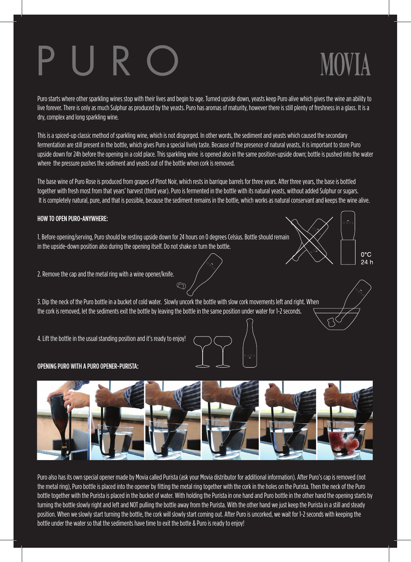**MOVIA** 

Puro starts where other sparkling wines stop with their lives and begin to age. Turned upside down, yeasts keep Puro alive which gives the wine an ability to live forever. There is only as much Sulphur as produced by the yeasts. Puro has aromas of maturity, however there is still plenty of freshness in a glass. It is a dry, complex and long sparkling wine.

This is a spiced-up classic method of sparkling wine, which is not disgorged. In other words, the sediment and yeasts which caused the secondary fermentation are still present in the bottle, which gives Puro a special lively taste. Because of the presence of natural yeasts, it is important to store Puro upside down for 24h before the opening in a cold place. This sparkling wine is opened also in the same position-upside down; bottle is pushed into the water where the pressure pushes the sediment and yeasts out of the bottle when cork is removed.

The base wine of Puro Rose is produced from grapes of Pinot Noir, which rests in barrique barrels for three years. After three years, the base is bottled together with fresh most from that years' harvest (third year). Puro is fermented in the bottle with its natural yeasts, without added Sulphur or sugars. It is completely natural, pure, and that is possible, because the sediment remains in the bottle, which works as natural conservant and keeps the wine alive.

### HOW TO OPEN PURO-ANYWHERE:

1. Before opening/serving, Puro should be resting upside down for 24 hours on 0 degrees Celsius. Bottle should remain in the upside-down position also during the opening itself. Do not shake or turn the bottle.

 $0^{\circ}$ C 24 h

2. Remove the cap and the metal ring with a wine opener/knife.

3. Dip the neck of the Puro bottle in a bucket of cold water. Slowly uncork the bottle with slow cork movements left and right. When the cork is removed, let the sediments exit the bottle by leaving the bottle in the same position under water for 1-2 seconds.

 $\begin{picture}(20,20) \put(0,0){\line(1,0){10}} \put(15,0){\line(1,0){10}} \put(15,0){\line(1,0){10}} \put(15,0){\line(1,0){10}} \put(15,0){\line(1,0){10}} \put(15,0){\line(1,0){10}} \put(15,0){\line(1,0){10}} \put(15,0){\line(1,0){10}} \put(15,0){\line(1,0){10}} \put(15,0){\line(1,0){10}} \put(15,0){\line(1,0){10}} \put(15,0){\line(1$ 

4. Lift the bottle in the usual standing position and it's ready to enjoy!

### OPENING PURO WITH A PURO OPENER-PURISTA:



Puro also has its own special opener made by Movia called Purista (ask your Movia distributor for additional information). After Puro's cap is removed (not the metal ring), Puro bottle is placed into the opener by fitting the metal ring together with the cork in the holes on the Purista. Then the neck of the Puro bottle together with the Purista is placed in the bucket of water. With holding the Purista in one hand and Puro bottle in the other hand the opening starts by turning the bottle slowly right and left and NOT pulling the bottle away from the Purista. With the other hand we just keep the Purista in a still and steady position. When we slowly start turning the bottle, the cork will slowly start coming out. After Puro is uncorked, we wait for 1-2 seconds with keeping the bottle under the water so that the sediments have time to exit the botte & Puro is ready to enjoy!